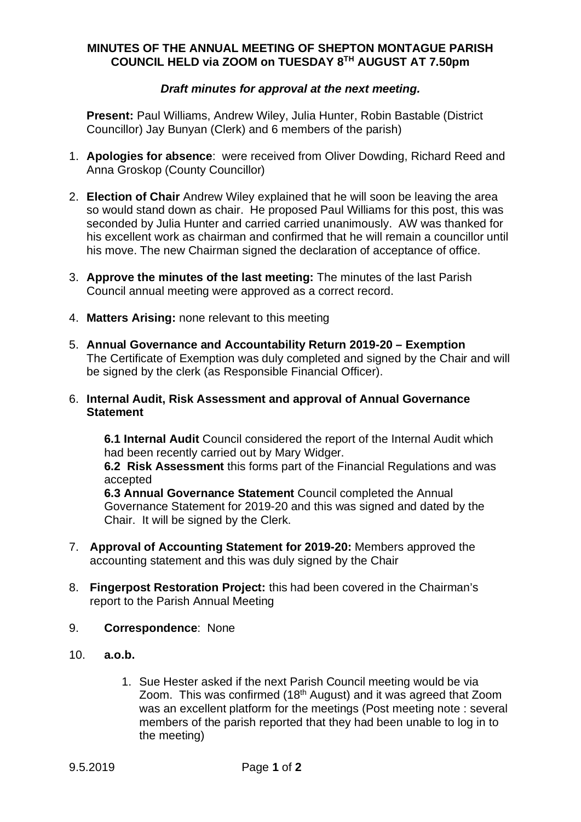## **MINUTES OF THE ANNUAL MEETING OF SHEPTON MONTAGUE PARISH COUNCIL HELD via ZOOM on TUESDAY 8TH AUGUST AT 7.50pm**

## *Draft minutes for approval at the next meeting.*

**Present:** Paul Williams, Andrew Wiley, Julia Hunter, Robin Bastable (District Councillor) Jay Bunyan (Clerk) and 6 members of the parish)

- 1. **Apologies for absence**: were received from Oliver Dowding, Richard Reed and Anna Groskop (County Councillor)
- 2. **Election of Chair** Andrew Wiley explained that he will soon be leaving the area so would stand down as chair. He proposed Paul Williams for this post, this was seconded by Julia Hunter and carried carried unanimously. AW was thanked for his excellent work as chairman and confirmed that he will remain a councillor until his move. The new Chairman signed the declaration of acceptance of office.
- 3. **Approve the minutes of the last meeting:** The minutes of the last Parish Council annual meeting were approved as a correct record.
- 4. **Matters Arising:** none relevant to this meeting
- 5. **Annual Governance and Accountability Return 2019-20 Exemption** The Certificate of Exemption was duly completed and signed by the Chair and will be signed by the clerk (as Responsible Financial Officer).

## 6. **Internal Audit, Risk Assessment and approval of Annual Governance Statement**

**6.1 Internal Audit** Council considered the report of the Internal Audit which had been recently carried out by Mary Widger.

**6.2 Risk Assessment** this forms part of the Financial Regulations and was accepted

**6.3 Annual Governance Statement** Council completed the Annual Governance Statement for 2019-20 and this was signed and dated by the Chair. It will be signed by the Clerk.

- 7. **Approval of Accounting Statement for 2019-20:** Members approved the accounting statement and this was duly signed by the Chair
- 8. **Fingerpost Restoration Project:** this had been covered in the Chairman's report to the Parish Annual Meeting
- 9. **Correspondence**: None
- 10. **a.o.b.**
	- 1. Sue Hester asked if the next Parish Council meeting would be via Zoom. This was confirmed (18th August) and it was agreed that Zoom was an excellent platform for the meetings (Post meeting note : several members of the parish reported that they had been unable to log in to the meeting)